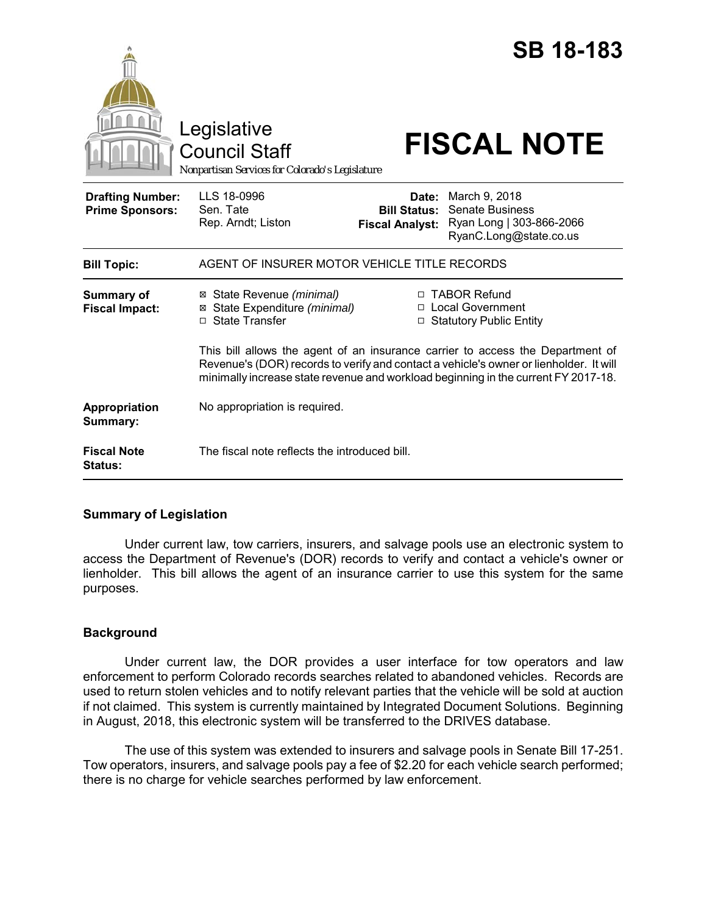|                                                   | Legislative<br><b>Council Staff</b><br>Nonpartisan Services for Colorado's Legislature                                                                                                                                                                         |                                                        | <b>SB 18-183</b><br><b>FISCAL NOTE</b>                                                        |
|---------------------------------------------------|----------------------------------------------------------------------------------------------------------------------------------------------------------------------------------------------------------------------------------------------------------------|--------------------------------------------------------|-----------------------------------------------------------------------------------------------|
| <b>Drafting Number:</b><br><b>Prime Sponsors:</b> | LLS 18-0996<br>Sen. Tate<br>Rep. Arndt; Liston                                                                                                                                                                                                                 | Date:<br><b>Bill Status:</b><br><b>Fiscal Analyst:</b> | March 9, 2018<br><b>Senate Business</b><br>Ryan Long   303-866-2066<br>RyanC.Long@state.co.us |
| <b>Bill Topic:</b>                                | AGENT OF INSURER MOTOR VEHICLE TITLE RECORDS                                                                                                                                                                                                                   |                                                        |                                                                                               |
| <b>Summary of</b><br><b>Fiscal Impact:</b>        | ⊠ State Revenue (minimal)<br>State Expenditure (minimal)<br>□ State Transfer                                                                                                                                                                                   |                                                        | □ TABOR Refund<br>□ Local Government<br>□ Statutory Public Entity                             |
|                                                   | This bill allows the agent of an insurance carrier to access the Department of<br>Revenue's (DOR) records to verify and contact a vehicle's owner or lienholder. It will<br>minimally increase state revenue and workload beginning in the current FY 2017-18. |                                                        |                                                                                               |
| Appropriation<br>Summary:                         | No appropriation is required.                                                                                                                                                                                                                                  |                                                        |                                                                                               |
| <b>Fiscal Note</b><br><b>Status:</b>              | The fiscal note reflects the introduced bill.                                                                                                                                                                                                                  |                                                        |                                                                                               |

#### **Summary of Legislation**

Under current law, tow carriers, insurers, and salvage pools use an electronic system to access the Department of Revenue's (DOR) records to verify and contact a vehicle's owner or lienholder. This bill allows the agent of an insurance carrier to use this system for the same purposes.

# **Background**

Under current law, the DOR provides a user interface for tow operators and law enforcement to perform Colorado records searches related to abandoned vehicles. Records are used to return stolen vehicles and to notify relevant parties that the vehicle will be sold at auction if not claimed. This system is currently maintained by Integrated Document Solutions. Beginning in August, 2018, this electronic system will be transferred to the DRIVES database.

The use of this system was extended to insurers and salvage pools in Senate Bill 17-251. Tow operators, insurers, and salvage pools pay a fee of \$2.20 for each vehicle search performed; there is no charge for vehicle searches performed by law enforcement.